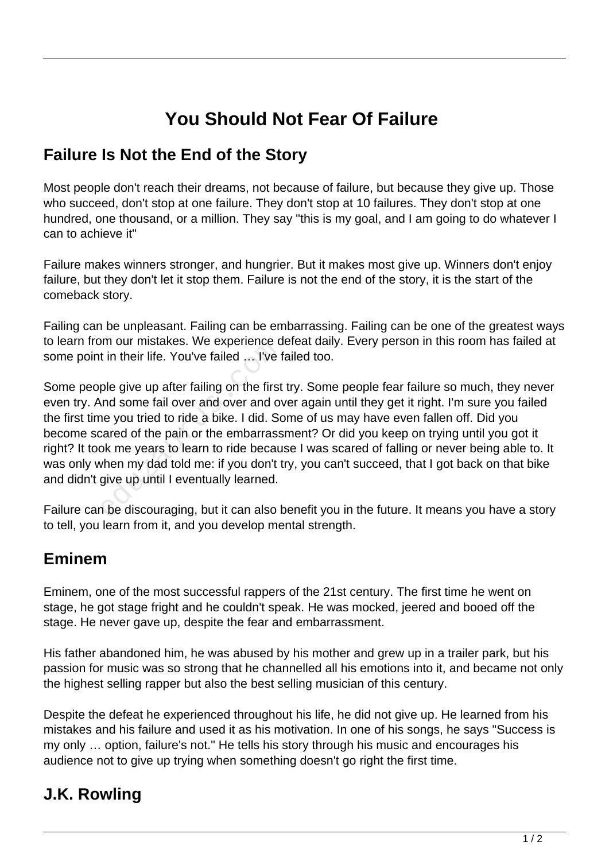# **You Should Not Fear Of Failure**

### **Failure Is Not the End of the Story**

Most people don't reach their dreams, not because of failure, but because they give up. Those who succeed, don't stop at one failure. They don't stop at 10 failures. They don't stop at one hundred, one thousand, or a million. They say "this is my goal, and I am going to do whatever I can to achieve it"

Failure makes winners stronger, and hungrier. But it makes most give up. Winners don't enjoy failure, but they don't let it stop them. Failure is not the end of the story, it is the start of the comeback story.

Failing can be unpleasant. Failing can be embarrassing. Failing can be one of the greatest ways to learn from our mistakes. We experience defeat daily. Every person in this room has failed at some point in their life. You've failed … I've failed too.

Some people give up after failing on the first try. Some people fear failure so much, they never even try. And some fail over and over and over again until they get it right. I'm sure you failed the first time you tried to ride a bike. I did. Some of us may have even fallen off. Did you become scared of the pain or the embarrassment? Or did you keep on trying until you got it right? It took me years to learn to ride because I was scared of falling or never being able to. It was only when my dad told me: if you don't try, you can't succeed, that I got back on that bike and didn't give up until I eventually learned. In our mistakes. We experience dot in their life. You've failed ... I've f<br>ple give up after failing on the first<br>and some fail over and over and over<br>ne you tried to ride a bike. I did. So<br>cared of the pain or the embarra

Failure can be discouraging, but it can also benefit you in the future. It means you have a story to tell, you learn from it, and you develop mental strength.

#### **Eminem**

Eminem, one of the most successful rappers of the 21st century. The first time he went on stage, he got stage fright and he couldn't speak. He was mocked, jeered and booed off the stage. He never gave up, despite the fear and embarrassment.

His father abandoned him, he was abused by his mother and grew up in a trailer park, but his passion for music was so strong that he channelled all his emotions into it, and became not only the highest selling rapper but also the best selling musician of this century.

Despite the defeat he experienced throughout his life, he did not give up. He learned from his mistakes and his failure and used it as his motivation. In one of his songs, he says "Success is my only … option, failure's not." He tells his story through his music and encourages his audience not to give up trying when something doesn't go right the first time.

# **J.K. Rowling**